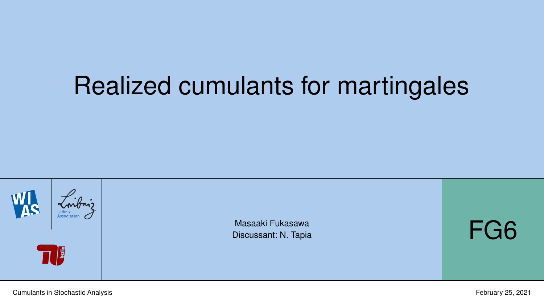# <span id="page-0-0"></span>Realized cumulants for martingales

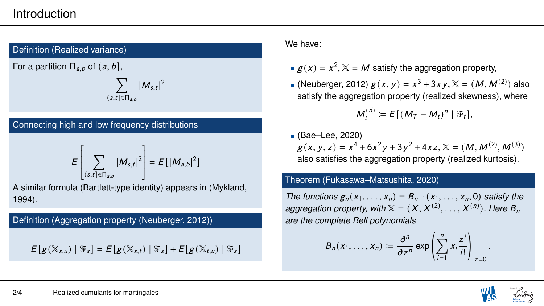## Introduction

#### Definition (Realized variance)

For a partition  $\Pi_{a,b}$  of  $(a,b]$ ,

$$
\sum_{(s,t]\in \Pi_{a,b}}|M_{s,t}
$$

| 2

### Connecting high and low frequency distributions

$$
E\left[\sum_{(s,t]\in\Pi_{a,b}}|M_{s,t}|^2\right] = E\left[|M_{a,b}|^2\right]
$$

 A similar formula (Bartlett-type identity) appears in (Mykland, 1994).

Definition (Aggregation property (Neuberger, 2012))

 $E[g(X_{s,u}) | \mathcal{F}_s] = E[g(X_{s,t}) | \mathcal{F}_s] + E[g(X_{t,u}) | \mathcal{F}_s]$ 

#### We have:

- $g(x) = x^2$ ,  $\mathbb{X} = M$  satisfy the aggregation property,
- (Neuberger, 2012)  $g(x, y) = x^3 + 3xy$ ,  $\mathbb{X} = (M, M^{(2)})$  also<br>satisfy the aggregation property (realized skewness), where satisfy the aggregation property (realized skewness), where

$$
M_t^{(n)} \coloneqq E[(M_T - M_t)^n \mid \mathfrak{F}_t],
$$

■ (Bae–Lee, 2020)  $g(x, y, z) = x^4 + 6x^2y + 3y^2 + 4xz$ ,  $\mathbb{X} = (M, M^{(2)}, M^{(3)})$ also satisfies the aggregation property (realized kurtosis).

#### Theorem (Fukasawa–Matsushita, 2020)

*The functions*  $g_n(x_1, \ldots, x_n) = B_{n+1}(x_1, \ldots, x_n, 0)$  *satisfy the aggregation property, with*  $X = (X, X^{(2)}, \ldots, X^{(n)})$ . Here  $B_n$ <br>are the complete Bell polynomials *are the complete Bell polynomials*

$$
B_n(x_1,\ldots,x_n) \coloneqq \frac{\partial^n}{\partial z^n} \exp\left(\sum_{i=1}^n x_i \frac{z^i}{i!}\right)\Big|_{z=0}.
$$

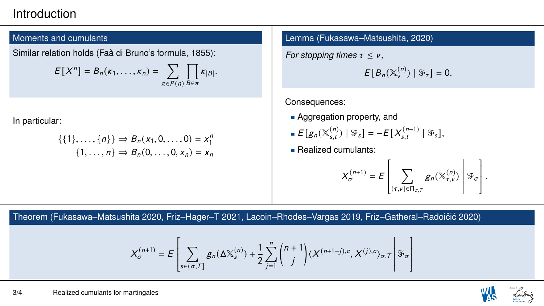## Introduction

#### Moments and cumulants

Similar relation holds (Faà di Bruno's formula, 1855):

$$
E[X^n] = B_n(\kappa_1,\ldots,\kappa_n) = \sum_{\pi \in P(n)} \prod_{B \in \pi} \kappa_{|B|}.
$$

In particular:

$$
\{\{1\}, \ldots, \{n\}\} \Rightarrow B_n(x_1, 0, \ldots, 0) = x_1^n
$$
  

$$
\{1, \ldots, n\} \Rightarrow B_n(0, \ldots, 0, x_n) = x_n
$$

Lemma (Fukasawa–Matsushita, 2020)

*For stopping times*  $\tau \leq v$ ,

$$
E[B_n(\mathbb{X}_{\nu}^{(n)}) \mid \mathfrak{F}_{\tau}]=0.
$$

Consequences:

- **Aggregation property, and**
- $E[g_n(\mathbb{X}_{s,t}^{(n)})]$ s,t ) |  $\mathcal{F}_s$ ] = −E[X $_{s,t}^{(n+1)}$ s,t  $\mid \mathfrak{F}_s],$
- **Realized cumulants:**

$$
X_{\sigma}^{(n+1)} = E\left[\sum_{(\tau,\nu]\in \Pi_{\sigma,T}} g_n(\mathbb{X}_{\tau,\nu}^{(n)})\middle|\mathcal{F}_{\sigma}\right].
$$

 $\frac{1}{2}$  $\frac{1}{2}$  $\frac{1}{2}$  $\frac{1}{2}$  $\frac{1}{2}$  $\overline{a}$ 

Theorem (Fukasawa–Matsushita 2020, Friz–Hager–T 2021, Lacoin–Rhodes–Vargas 2019, Friz–Gatheral–Radoičić 2020)

$$
X_{\sigma}^{(n+1)} = E\left[\sum_{s \in (\sigma, T]} g_n(\Delta \mathbb{X}_s^{(n)}) + \frac{1}{2} \sum_{j=1}^n {n+1 \choose j} \langle X^{(n+1-j), c}, X^{(j), c} \rangle_{\sigma, T} \right] \mathcal{F}_{\sigma}
$$

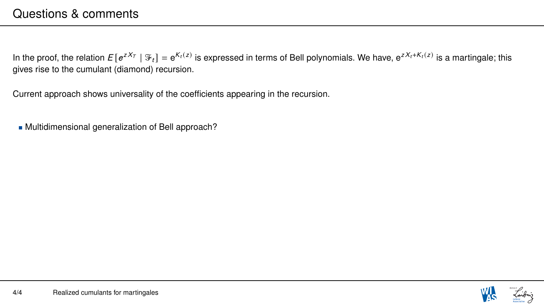In the proof, the relation  $E[e^{zX_T} | \mathcal{F}_t] = e^{K_t(z)}$  is expressed in terms of Bell polynomials. We have,  $e^{zX_t+K_t(z)}$  is a martingale; this gives rise to the cumulant (diamond) recursion.

Current approach shows universality of the coefficients appearing in the recursion.

Multidimensional generalization of Bell approach?

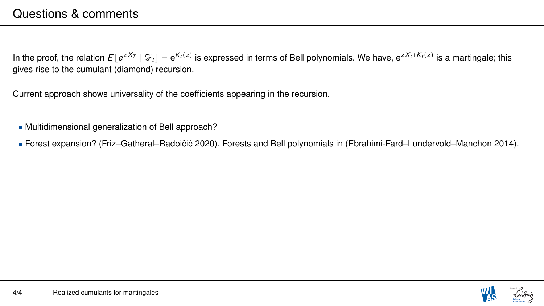In the proof, the relation  $E[e^{zX_T} | \mathcal{F}_t] = e^{K_t(z)}$  is expressed in terms of Bell polynomials. We have,  $e^{zX_t+K_t(z)}$  is a martingale; this gives rise to the cumulant (diamond) recursion.

Current approach shows universality of the coefficients appearing in the recursion.

- Multidimensional generalization of Bell approach?
- Forest expansion? (Friz–Gatheral–Radoičić 2020). Forests and Bell polynomials in (Ebrahimi-Fard–Lundervold–Manchon 2014).